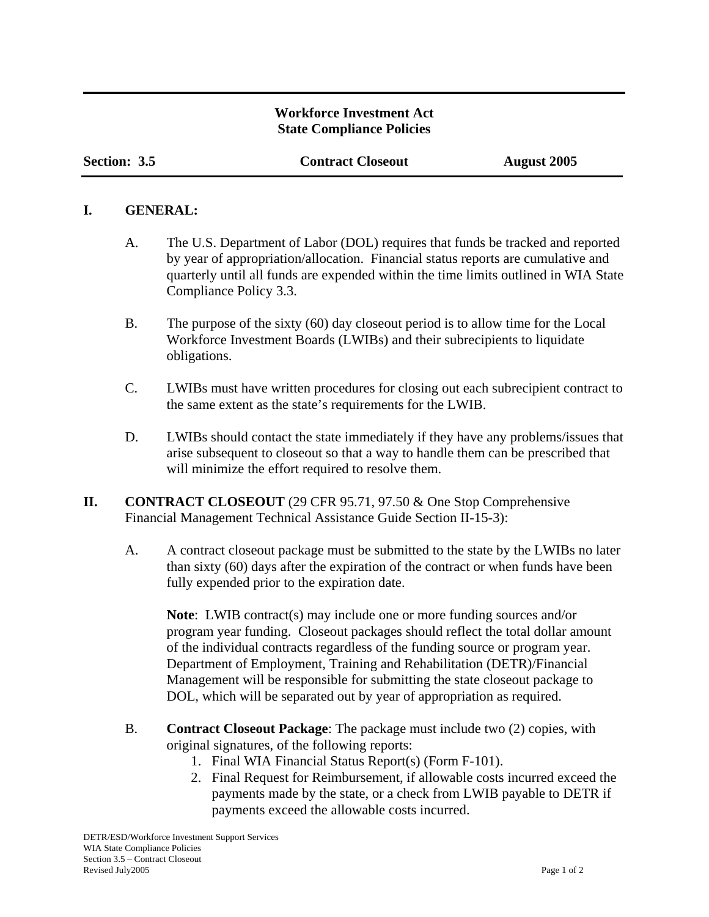## **Workforce Investment Act State Compliance Policies**

**Section: 3.5 Contract Closeout August 2005**

## **I. GENERAL:**

- A. The U.S. Department of Labor (DOL) requires that funds be tracked and reported by year of appropriation/allocation. Financial status reports are cumulative and quarterly until all funds are expended within the time limits outlined in WIA State Compliance Policy 3.3.
- B. The purpose of the sixty (60) day closeout period is to allow time for the Local Workforce Investment Boards (LWIBs) and their subrecipients to liquidate obligations.
- C. LWIBs must have written procedures for closing out each subrecipient contract to the same extent as the state's requirements for the LWIB.
- D. LWIBs should contact the state immediately if they have any problems/issues that arise subsequent to closeout so that a way to handle them can be prescribed that will minimize the effort required to resolve them.
- **II. CONTRACT CLOSEOUT** (29 CFR 95.71, 97.50 & One Stop Comprehensive Financial Management Technical Assistance Guide Section II-15-3):
	- A. A contract closeout package must be submitted to the state by the LWIBs no later than sixty (60) days after the expiration of the contract or when funds have been fully expended prior to the expiration date.

**Note**: LWIB contract(s) may include one or more funding sources and/or program year funding. Closeout packages should reflect the total dollar amount of the individual contracts regardless of the funding source or program year. Department of Employment, Training and Rehabilitation (DETR)/Financial Management will be responsible for submitting the state closeout package to DOL, which will be separated out by year of appropriation as required.

- B. **Contract Closeout Package**: The package must include two (2) copies, with original signatures, of the following reports:
	- 1. Final WIA Financial Status Report(s) (Form F-101).
	- 2. Final Request for Reimbursement, if allowable costs incurred exceed the payments made by the state, or a check from LWIB payable to DETR if payments exceed the allowable costs incurred.